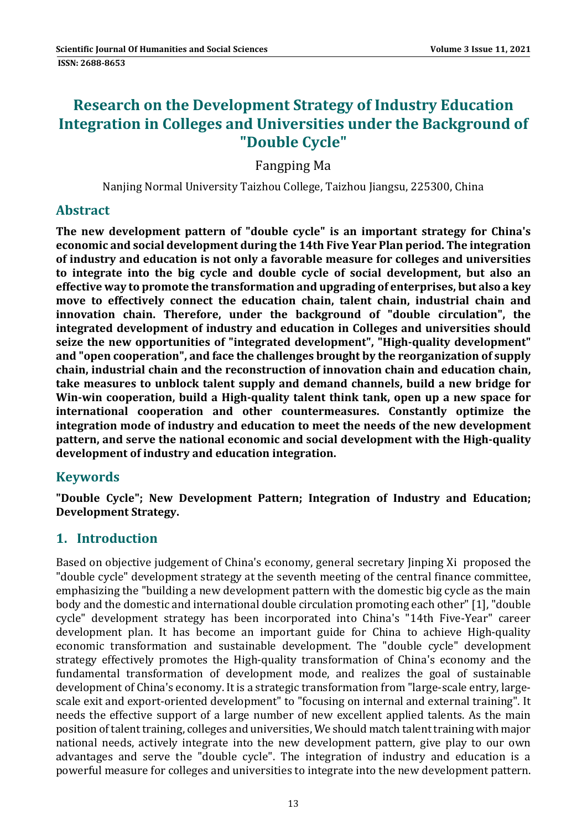# **Research on the Development Strategy of Industry Education Integration in Colleges and Universities under the Background of "Double Cycle"**

Fangping Ma 

Nanjing Normal University Taizhou College, Taizhou Jiangsu, 225300, China

### **Abstract**

**The new development pattern of "double cycle" is an important strategy for China's economic and social development during the 14th Five Year Plan period. The integration of industry and education is not only a favorable measure for colleges and universities to integrate into the big cycle and double cycle of social development, but also an effective way to promote the transformation and upgrading of enterprises, but also a key move to effectively connect the education chain, talent chain, industrial chain and innovation chain. Therefore, under the background of "double circulation", the integrated development of industry and education in Colleges and universities should seize the new opportunities of "integrated development", "High‐quality development" and "open cooperation", and face the challenges brought by the reorganization of supply chain, industrial chain and the reconstruction of innovation chain and education chain, take measures to unblock talent supply and demand channels, build a new bridge for Win‐win cooperation, build a High‐quality talent think tank, open up a new space for international cooperation and other countermeasures. Constantly optimize the integration mode of industry and education to meet the needs of the new development pattern, and serve the national economic and social development with the High‐quality development of industry and education integration.**

# **Keywords**

**"Double Cycle"; New Development Pattern; Integration of Industry and Education; Development Strategy.**

# **1. Introduction**

Based on objective judgement of China's economy, general secretary Jinping Xi proposed the " double cycle" development strategy at the seventh meeting of the central finance committee, emphasizing the "building a new development pattern with the domestic big cycle as the main body and the domestic and international double circulation promoting each other" [1], "double cycle" development strategy has been incorporated into China's "14th Five-Year" career development plan. It has become an important guide for China to achieve High-quality economic transformation and sustainable development. The "double cycle" development strategy effectively promotes the High-quality transformation of China's economy and the fundamental transformation of development mode, and realizes the goal of sustainable development of China's economy. It is a strategic transformation from "large-scale entry, largescale exit and export-oriented development" to "focusing on internal and external training". It needs the effective support of a large number of new excellent applied talents. As the main position of talent training, colleges and universities, We should match talent training with major national needs, actively integrate into the new development pattern, give play to our own advantages and serve the "double cycle". The integration of industry and education is a powerful measure for colleges and universities to integrate into the new development pattern.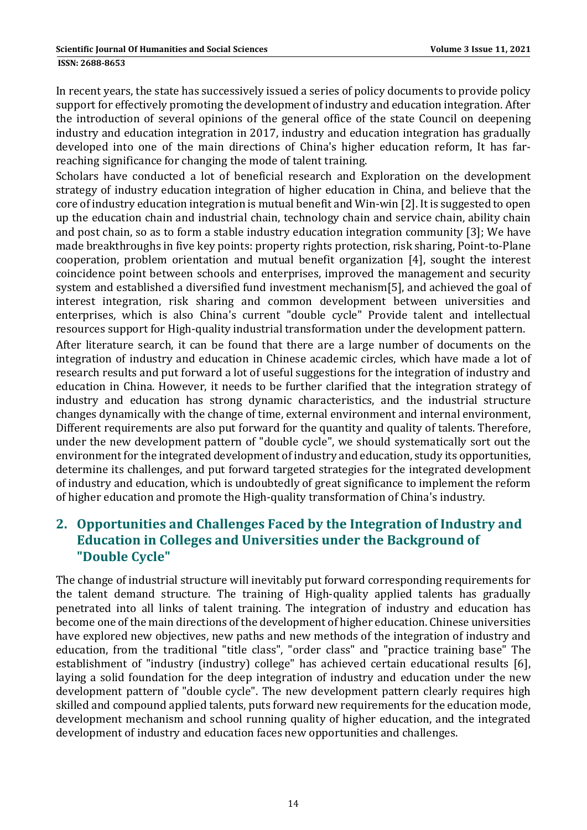**ISSN: 2688-8653** 

In recent years, the state has successively issued a series of policy documents to provide policy support for effectively promoting the development of industry and education integration. After the introduction of several opinions of the general office of the state Council on deepening industry and education integration in 2017, industry and education integration has gradually developed into one of the main directions of China's higher education reform, It has farreaching significance for changing the mode of talent training.

Scholars have conducted a lot of beneficial research and Exploration on the development strategy of industry education integration of higher education in China, and believe that the core of industry education integration is mutual benefit and Win-win [2]. It is suggested to open up the education chain and industrial chain, technology chain and service chain, ability chain and post chain, so as to form a stable industry education integration community [3]; We have made breakthroughs in five key points: property rights protection, risk sharing, Point-to-Plane cooperation, problem orientation and mutual benefit organization [4], sought the interest coincidence point between schools and enterprises, improved the management and security system and established a diversified fund investment mechanism[5], and achieved the goal of interest integration, risk sharing and common development between universities and enterprises, which is also China's current "double cycle" Provide talent and intellectual resources support for High-quality industrial transformation under the development pattern.

After literature search, it can be found that there are a large number of documents on the integration of industry and education in Chinese academic circles, which have made a lot of research results and put forward a lot of useful suggestions for the integration of industry and education in China. However, it needs to be further clarified that the integration strategy of industry and education has strong dynamic characteristics, and the industrial structure changes dynamically with the change of time, external environment and internal environment, Different requirements are also put forward for the quantity and quality of talents. Therefore, under the new development pattern of "double cycle", we should systematically sort out the environment for the integrated development of industry and education, study its opportunities, determine its challenges, and put forward targeted strategies for the integrated development of industry and education, which is undoubtedly of great significance to implement the reform of higher education and promote the High-quality transformation of China's industry.

# **2. Opportunities and Challenges Faced by the Integration of Industry and Education in Colleges and Universities under the Background of "Double Cycle"**

The change of industrial structure will inevitably put forward corresponding requirements for the talent demand structure. The training of High-quality applied talents has gradually penetrated into all links of talent training. The integration of industry and education has become one of the main directions of the development of higher education. Chinese universities have explored new objectives, new paths and new methods of the integration of industry and education, from the traditional "title class", "order class" and "practice training base" The establishment of "industry (industry) college" has achieved certain educational results [6], laying a solid foundation for the deep integration of industry and education under the new development pattern of "double cycle". The new development pattern clearly requires high skilled and compound applied talents, puts forward new requirements for the education mode, development mechanism and school running quality of higher education, and the integrated development of industry and education faces new opportunities and challenges.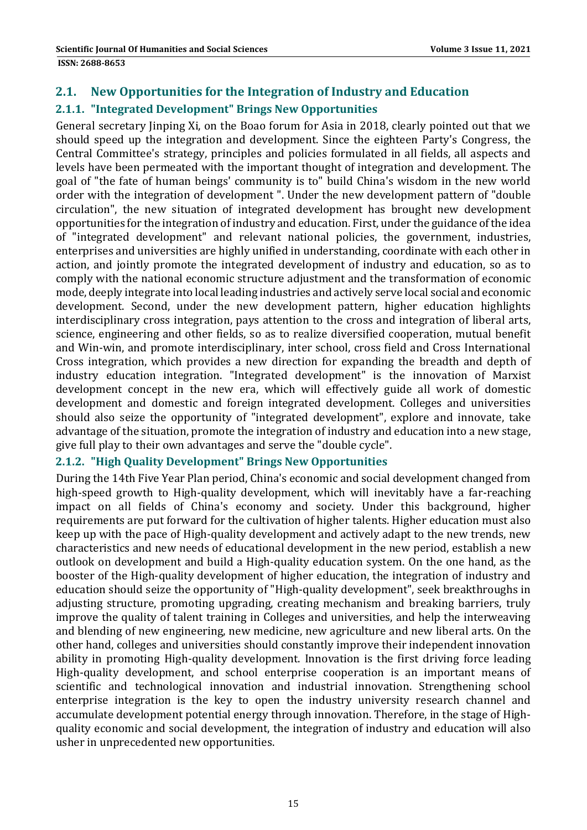## **2.1. New Opportunities for the Integration of Industry and Education 2.1.1. "Integrated Development" Brings New Opportunities**

General secretary linping Xi, on the Boao forum for Asia in 2018, clearly pointed out that we should speed up the integration and development. Since the eighteen Party's Congress, the Central Committee's strategy, principles and policies formulated in all fields, all aspects and levels have been permeated with the important thought of integration and development. The goal of "the fate of human beings' community is to" build China's wisdom in the new world order with the integration of development ". Under the new development pattern of "double circulation", the new situation of integrated development has brought new development opportunities for the integration of industry and education. First, under the guidance of the idea of "integrated development" and relevant national policies, the government, industries, enterprises and universities are highly unified in understanding, coordinate with each other in action, and jointly promote the integrated development of industry and education, so as to comply with the national economic structure adjustment and the transformation of economic mode, deeply integrate into local leading industries and actively serve local social and economic development. Second, under the new development pattern, higher education highlights interdisciplinary cross integration, pays attention to the cross and integration of liberal arts, science, engineering and other fields, so as to realize diversified cooperation, mutual benefit and Win-win, and promote interdisciplinary, inter school, cross field and Cross International Cross integration, which provides a new direction for expanding the breadth and depth of industry education integration. "Integrated development" is the innovation of Marxist development concept in the new era, which will effectively guide all work of domestic development and domestic and foreign integrated development. Colleges and universities should also seize the opportunity of "integrated development", explore and innovate, take advantage of the situation, promote the integration of industry and education into a new stage, give full play to their own advantages and serve the "double cycle".

#### **2.1.2. "High Quality Development" Brings New Opportunities**

During the 14th Five Year Plan period, China's economic and social development changed from high-speed growth to High-quality development, which will inevitably have a far-reaching impact on all fields of China's economy and society. Under this background, higher requirements are put forward for the cultivation of higher talents. Higher education must also keep up with the pace of High-quality development and actively adapt to the new trends, new characteristics and new needs of educational development in the new period, establish a new outlook on development and build a High-quality education system. On the one hand, as the booster of the High-quality development of higher education, the integration of industry and education should seize the opportunity of "High-quality development", seek breakthroughs in adjusting structure, promoting upgrading, creating mechanism and breaking barriers, truly improve the quality of talent training in Colleges and universities, and help the interweaving and blending of new engineering, new medicine, new agriculture and new liberal arts. On the other hand, colleges and universities should constantly improve their independent innovation ability in promoting High-quality development. Innovation is the first driving force leading High-quality development, and school enterprise cooperation is an important means of scientific and technological innovation and industrial innovation. Strengthening school enterprise integration is the key to open the industry university research channel and accumulate development potential energy through innovation. Therefore, in the stage of Highquality economic and social development, the integration of industry and education will also usher in unprecedented new opportunities.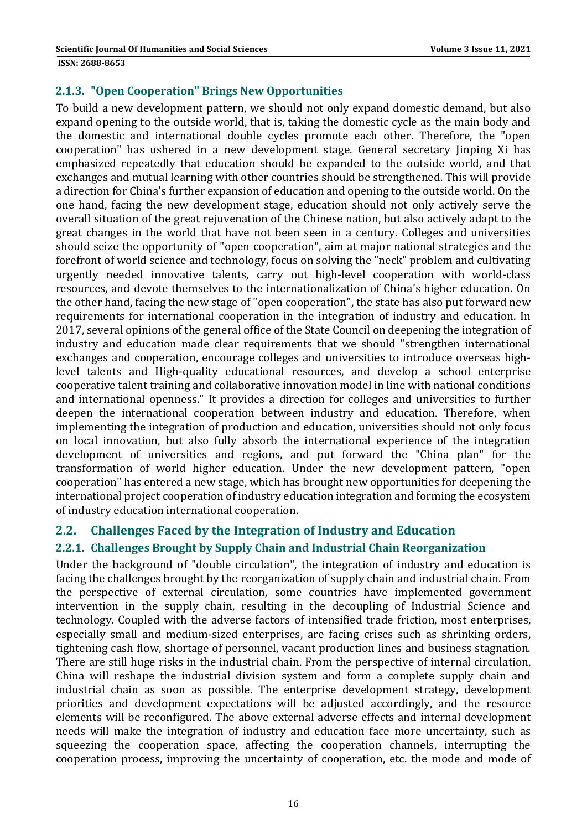#### **2.1.3. "Open Cooperation" Brings New Opportunities**

To build a new development pattern, we should not only expand domestic demand, but also expand opening to the outside world, that is, taking the domestic cycle as the main body and the domestic and international double cycles promote each other. Therefore, the "open cooperation" has ushered in a new development stage. General secretary linping Xi has emphasized repeatedly that education should be expanded to the outside world, and that exchanges and mutual learning with other countries should be strengthened. This will provide a direction for China's further expansion of education and opening to the outside world. On the one hand, facing the new development stage, education should not only actively serve the overall situation of the great rejuvenation of the Chinese nation, but also actively adapt to the great changes in the world that have not been seen in a century. Colleges and universities should seize the opportunity of "open cooperation", aim at major national strategies and the forefront of world science and technology, focus on solving the "neck" problem and cultivating urgently needed innovative talents, carry out high-level cooperation with world-class resources, and devote themselves to the internationalization of China's higher education. On the other hand, facing the new stage of "open cooperation", the state has also put forward new requirements for international cooperation in the integration of industry and education. In 2017, several opinions of the general office of the State Council on deepening the integration of industry and education made clear requirements that we should "strengthen international exchanges and cooperation, encourage colleges and universities to introduce overseas highlevel talents and High-quality educational resources, and develop a school enterprise cooperative talent training and collaborative innovation model in line with national conditions and international openness." It provides a direction for colleges and universities to further deepen the international cooperation between industry and education. Therefore, when implementing the integration of production and education, universities should not only focus on local innovation, but also fully absorb the international experience of the integration development of universities and regions, and put forward the "China plan" for the transformation of world higher education. Under the new development pattern, "open cooperation" has entered a new stage, which has brought new opportunities for deepening the international project cooperation of industry education integration and forming the ecosystem of industry education international cooperation.

### **2.2. Challenges Faced by the Integration of Industry and Education**

### **2.2.1. Challenges Brought by Supply Chain and Industrial Chain Reorganization**

Under the background of "double circulation", the integration of industry and education is facing the challenges brought by the reorganization of supply chain and industrial chain. From the perspective of external circulation, some countries have implemented government intervention in the supply chain, resulting in the decoupling of Industrial Science and technology. Coupled with the adverse factors of intensified trade friction, most enterprises, especially small and medium-sized enterprises, are facing crises such as shrinking orders, tightening cash flow, shortage of personnel, vacant production lines and business stagnation. There are still huge risks in the industrial chain. From the perspective of internal circulation, China will reshape the industrial division system and form a complete supply chain and industrial chain as soon as possible. The enterprise development strategy, development priorities and development expectations will be adjusted accordingly, and the resource elements will be reconfigured. The above external adverse effects and internal development needs will make the integration of industry and education face more uncertainty, such as squeezing the cooperation space, affecting the cooperation channels, interrupting the cooperation process, improving the uncertainty of cooperation, etc. the mode and mode of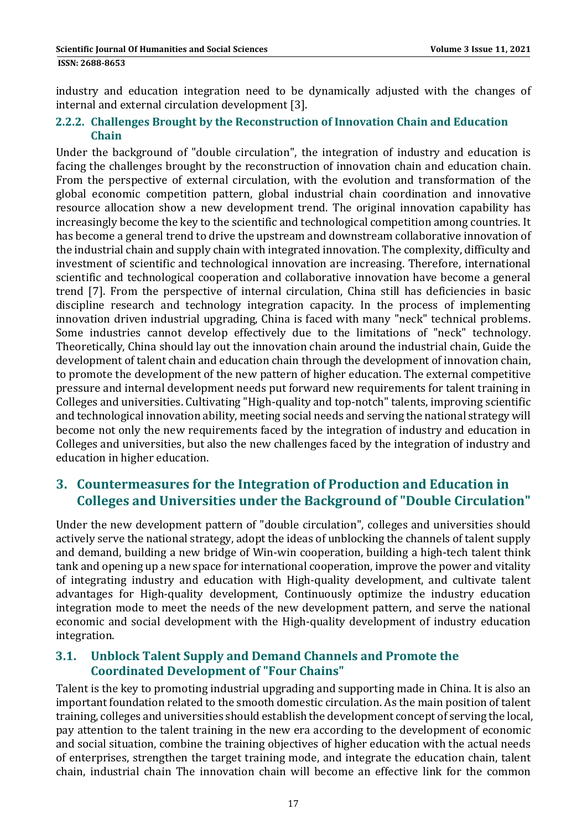industry and education integration need to be dynamically adjusted with the changes of internal and external circulation development [3].

#### **2.2.2. Challenges Brought by the Reconstruction of Innovation Chain and Education Chain**

Under the background of "double circulation", the integration of industry and education is facing the challenges brought by the reconstruction of innovation chain and education chain. From the perspective of external circulation, with the evolution and transformation of the global economic competition pattern, global industrial chain coordination and innovative resource allocation show a new development trend. The original innovation capability has increasingly become the key to the scientific and technological competition among countries. It has become a general trend to drive the upstream and downstream collaborative innovation of the industrial chain and supply chain with integrated innovation. The complexity, difficulty and investment of scientific and technological innovation are increasing. Therefore, international scientific and technological cooperation and collaborative innovation have become a general trend [7]. From the perspective of internal circulation, China still has deficiencies in basic discipline research and technology integration capacity. In the process of implementing innovation driven industrial upgrading, China is faced with many "neck" technical problems. Some industries cannot develop effectively due to the limitations of "neck" technology. Theoretically, China should lay out the innovation chain around the industrial chain, Guide the development of talent chain and education chain through the development of innovation chain, to promote the development of the new pattern of higher education. The external competitive pressure and internal development needs put forward new requirements for talent training in Colleges and universities. Cultivating "High-quality and top-notch" talents, improving scientific and technological innovation ability, meeting social needs and serving the national strategy will become not only the new requirements faced by the integration of industry and education in Colleges and universities, but also the new challenges faced by the integration of industry and education in higher education.

# **3. Countermeasures for the Integration of Production and Education in Colleges and Universities under the Background of "Double Circulation"**

Under the new development pattern of "double circulation", colleges and universities should actively serve the national strategy, adopt the ideas of unblocking the channels of talent supply and demand, building a new bridge of Win-win cooperation, building a high-tech talent think tank and opening up a new space for international cooperation, improve the power and vitality of integrating industry and education with High-quality development, and cultivate talent advantages for High-quality development, Continuously optimize the industry education integration mode to meet the needs of the new development pattern, and serve the national economic and social development with the High-quality development of industry education integration. 

### **3.1. Unblock Talent Supply and Demand Channels and Promote the Coordinated Development of "Four Chains"**

Talent is the key to promoting industrial upgrading and supporting made in China. It is also an important foundation related to the smooth domestic circulation. As the main position of talent training, colleges and universities should establish the development concept of serving the local, pay attention to the talent training in the new era according to the development of economic and social situation, combine the training objectives of higher education with the actual needs of enterprises, strengthen the target training mode, and integrate the education chain, talent chain, industrial chain The innovation chain will become an effective link for the common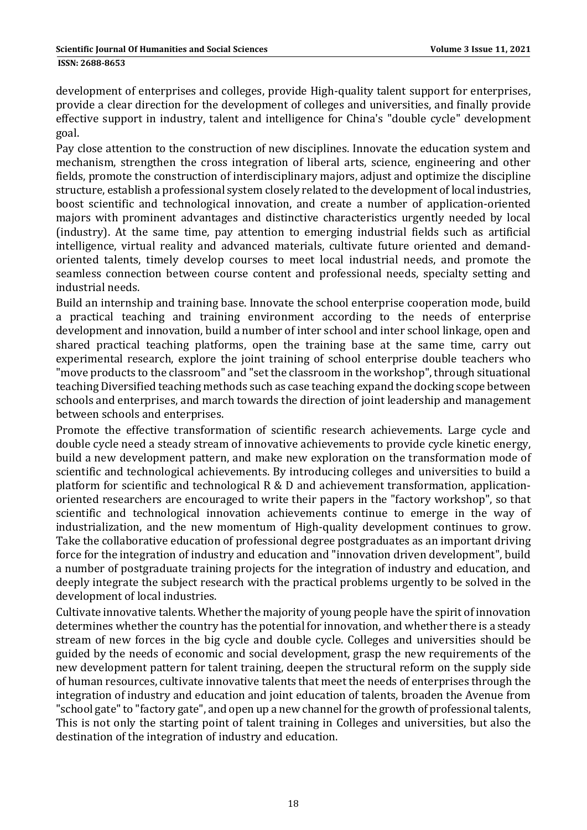development of enterprises and colleges, provide High-quality talent support for enterprises, provide a clear direction for the development of colleges and universities, and finally provide effective support in industry, talent and intelligence for China's "double cycle" development goal. 

Pay close attention to the construction of new disciplines. Innovate the education system and mechanism, strengthen the cross integration of liberal arts, science, engineering and other fields, promote the construction of interdisciplinary majors, adjust and optimize the discipline structure, establish a professional system closely related to the development of local industries, boost scientific and technological innovation, and create a number of application-oriented majors with prominent advantages and distinctive characteristics urgently needed by local (industry). At the same time, pay attention to emerging industrial fields such as artificial intelligence, virtual reality and advanced materials, cultivate future oriented and demandoriented talents, timely develop courses to meet local industrial needs, and promote the seamless connection between course content and professional needs, specialty setting and industrial needs.

Build an internship and training base. Innovate the school enterprise cooperation mode, build a practical teaching and training environment according to the needs of enterprise development and innovation, build a number of inter school and inter school linkage, open and shared practical teaching platforms, open the training base at the same time, carry out experimental research, explore the joint training of school enterprise double teachers who "move products to the classroom" and "set the classroom in the workshop", through situational teaching Diversified teaching methods such as case teaching expand the docking scope between schools and enterprises, and march towards the direction of joint leadership and management between schools and enterprises.

Promote the effective transformation of scientific research achievements. Large cycle and double cycle need a steady stream of innovative achievements to provide cycle kinetic energy, build a new development pattern, and make new exploration on the transformation mode of scientific and technological achievements. By introducing colleges and universities to build a platform for scientific and technological  $R \& D$  and achievement transformation, applicationoriented researchers are encouraged to write their papers in the "factory workshop", so that scientific and technological innovation achievements continue to emerge in the way of industrialization, and the new momentum of High-quality development continues to grow. Take the collaborative education of professional degree postgraduates as an important driving force for the integration of industry and education and "innovation driven development", build a number of postgraduate training projects for the integration of industry and education, and deeply integrate the subject research with the practical problems urgently to be solved in the development of local industries.

Cultivate innovative talents. Whether the majority of young people have the spirit of innovation determines whether the country has the potential for innovation, and whether there is a steady stream of new forces in the big cycle and double cycle. Colleges and universities should be guided by the needs of economic and social development, grasp the new requirements of the new development pattern for talent training, deepen the structural reform on the supply side of human resources, cultivate innovative talents that meet the needs of enterprises through the integration of industry and education and joint education of talents, broaden the Avenue from "school gate" to "factory gate", and open up a new channel for the growth of professional talents, This is not only the starting point of talent training in Colleges and universities, but also the destination of the integration of industry and education.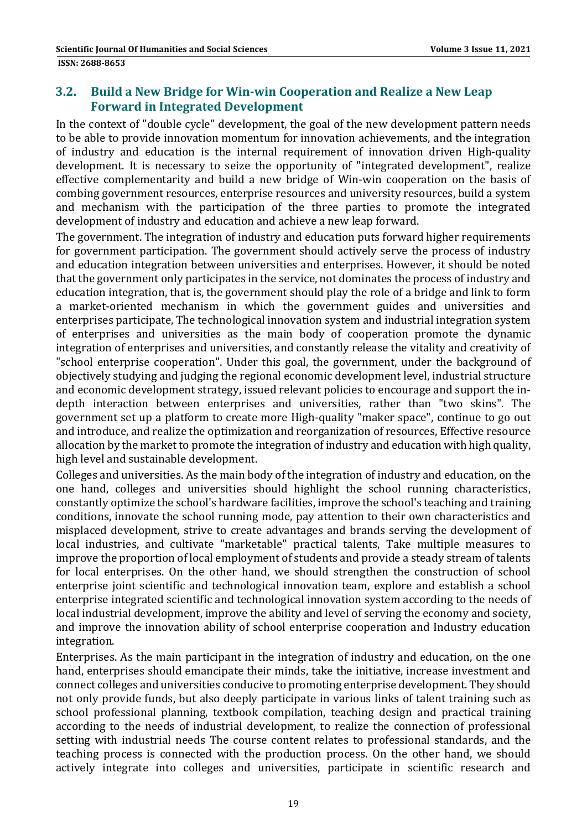### **3.2. Build a New Bridge for Win‐win Cooperation and Realize a New Leap Forward in Integrated Development**

In the context of "double cycle" development, the goal of the new development pattern needs to be able to provide innovation momentum for innovation achievements, and the integration of industry and education is the internal requirement of innovation driven High-quality development. It is necessary to seize the opportunity of "integrated development", realize effective complementarity and build a new bridge of Win-win cooperation on the basis of combing government resources, enterprise resources and university resources, build a system and mechanism with the participation of the three parties to promote the integrated development of industry and education and achieve a new leap forward.

The government. The integration of industry and education puts forward higher requirements for government participation. The government should actively serve the process of industry and education integration between universities and enterprises. However, it should be noted that the government only participates in the service, not dominates the process of industry and education integration, that is, the government should play the role of a bridge and link to form a market-oriented mechanism in which the government guides and universities and enterprises participate, The technological innovation system and industrial integration system of enterprises and universities as the main body of cooperation promote the dynamic integration of enterprises and universities, and constantly release the vitality and creativity of "school enterprise cooperation". Under this goal, the government, under the background of objectively studying and judging the regional economic development level, industrial structure and economic development strategy, issued relevant policies to encourage and support the indepth interaction between enterprises and universities, rather than "two skins". The government set up a platform to create more High-quality "maker space", continue to go out and introduce, and realize the optimization and reorganization of resources, Effective resource allocation by the market to promote the integration of industry and education with high quality, high level and sustainable development.

Colleges and universities. As the main body of the integration of industry and education, on the one hand, colleges and universities should highlight the school running characteristics, constantly optimize the school's hardware facilities, improve the school's teaching and training conditions, innovate the school running mode, pay attention to their own characteristics and misplaced development, strive to create advantages and brands serving the development of local industries, and cultivate "marketable" practical talents, Take multiple measures to improve the proportion of local employment of students and provide a steady stream of talents for local enterprises. On the other hand, we should strengthen the construction of school enterprise joint scientific and technological innovation team, explore and establish a school enterprise integrated scientific and technological innovation system according to the needs of local industrial development, improve the ability and level of serving the economy and society, and improve the innovation ability of school enterprise cooperation and Industry education integration. 

Enterprises. As the main participant in the integration of industry and education, on the one hand, enterprises should emancipate their minds, take the initiative, increase investment and connect colleges and universities conducive to promoting enterprise development. They should not only provide funds, but also deeply participate in various links of talent training such as school professional planning, textbook compilation, teaching design and practical training according to the needs of industrial development, to realize the connection of professional setting with industrial needs The course content relates to professional standards, and the teaching process is connected with the production process. On the other hand, we should actively integrate into colleges and universities, participate in scientific research and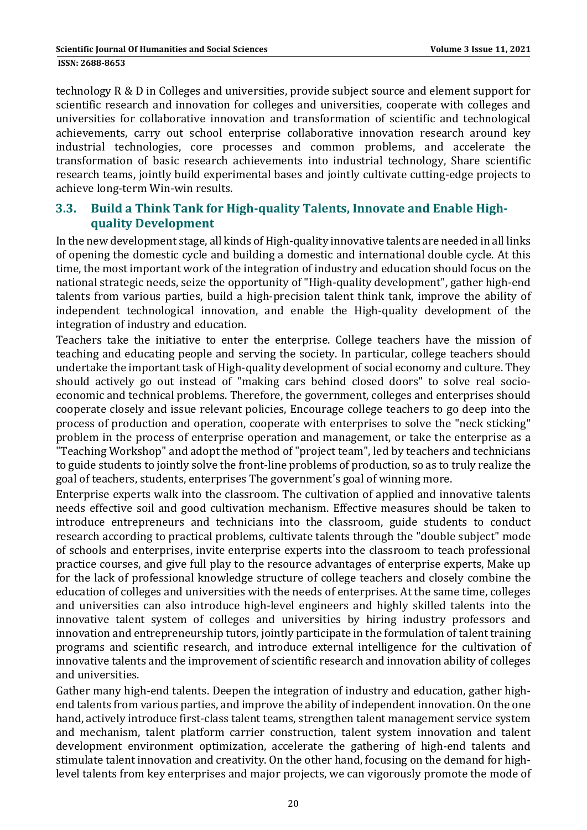technology R & D in Colleges and universities, provide subject source and element support for scientific research and innovation for colleges and universities, cooperate with colleges and universities for collaborative innovation and transformation of scientific and technological achievements, carry out school enterprise collaborative innovation research around key industrial technologies, core processes and common problems, and accelerate the transformation of basic research achievements into industrial technology, Share scientific research teams, jointly build experimental bases and jointly cultivate cutting-edge projects to achieve long-term Win-win results.

### **3.3. Build a Think Tank for High‐quality Talents, Innovate and Enable High‐ quality Development**

In the new development stage, all kinds of High-quality innovative talents are needed in all links of opening the domestic cycle and building a domestic and international double cycle. At this time, the most important work of the integration of industry and education should focus on the national strategic needs, seize the opportunity of "High-quality development", gather high-end talents from various parties, build a high-precision talent think tank, improve the ability of independent technological innovation, and enable the High-quality development of the integration of industry and education.

Teachers take the initiative to enter the enterprise. College teachers have the mission of teaching and educating people and serving the society. In particular, college teachers should undertake the important task of High-quality development of social economy and culture. They should actively go out instead of "making cars behind closed doors" to solve real socioeconomic and technical problems. Therefore, the government, colleges and enterprises should cooperate closely and issue relevant policies, Encourage college teachers to go deep into the process of production and operation, cooperate with enterprises to solve the "neck sticking" problem in the process of enterprise operation and management, or take the enterprise as a "Teaching Workshop" and adopt the method of "project team", led by teachers and technicians to guide students to jointly solve the front-line problems of production, so as to truly realize the goal of teachers, students, enterprises The government's goal of winning more.

Enterprise experts walk into the classroom. The cultivation of applied and innovative talents needs effective soil and good cultivation mechanism. Effective measures should be taken to introduce entrepreneurs and technicians into the classroom, guide students to conduct research according to practical problems, cultivate talents through the "double subject" mode of schools and enterprises, invite enterprise experts into the classroom to teach professional practice courses, and give full play to the resource advantages of enterprise experts, Make up for the lack of professional knowledge structure of college teachers and closely combine the education of colleges and universities with the needs of enterprises. At the same time, colleges and universities can also introduce high-level engineers and highly skilled talents into the innovative talent system of colleges and universities by hiring industry professors and innovation and entrepreneurship tutors, jointly participate in the formulation of talent training programs and scientific research, and introduce external intelligence for the cultivation of innovative talents and the improvement of scientific research and innovation ability of colleges and universities.

Gather many high-end talents. Deepen the integration of industry and education, gather highend talents from various parties, and improve the ability of independent innovation. On the one hand, actively introduce first-class talent teams, strengthen talent management service system and mechanism, talent platform carrier construction, talent system innovation and talent development environment optimization, accelerate the gathering of high-end talents and stimulate talent innovation and creativity. On the other hand, focusing on the demand for highlevel talents from key enterprises and major projects, we can vigorously promote the mode of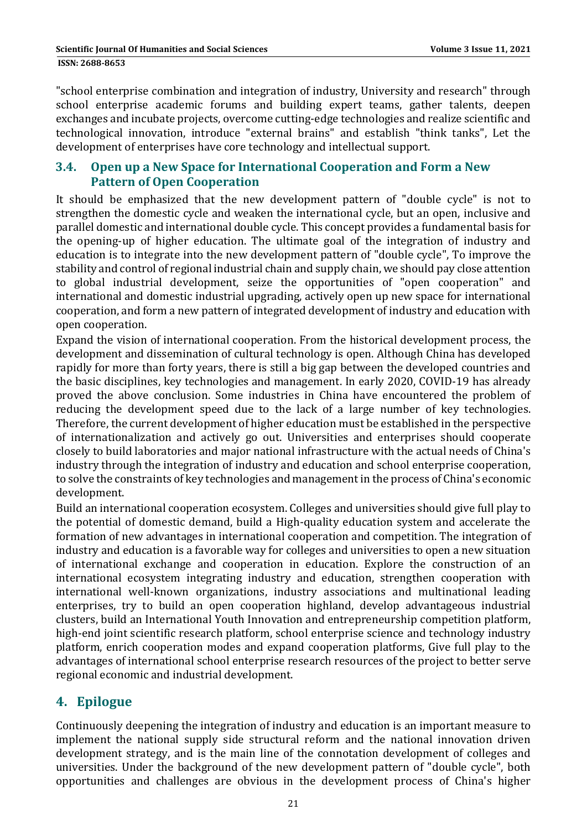"school enterprise combination and integration of industry, University and research" through school enterprise academic forums and building expert teams, gather talents, deepen exchanges and incubate projects, overcome cutting-edge technologies and realize scientific and technological innovation, introduce "external brains" and establish "think tanks", Let the development of enterprises have core technology and intellectual support.

### **3.4. Open up a New Space for International Cooperation and Form a New Pattern of Open Cooperation**

It should be emphasized that the new development pattern of "double cycle" is not to strengthen the domestic cycle and weaken the international cycle, but an open, inclusive and parallel domestic and international double cycle. This concept provides a fundamental basis for the opening-up of higher education. The ultimate goal of the integration of industry and education is to integrate into the new development pattern of "double cycle", To improve the stability and control of regional industrial chain and supply chain, we should pay close attention to global industrial development, seize the opportunities of "open cooperation" and international and domestic industrial upgrading, actively open up new space for international cooperation, and form a new pattern of integrated development of industry and education with open cooperation.

Expand the vision of international cooperation. From the historical development process, the development and dissemination of cultural technology is open. Although China has developed rapidly for more than forty years, there is still a big gap between the developed countries and the basic disciplines, key technologies and management. In early 2020, COVID-19 has already proved the above conclusion. Some industries in China have encountered the problem of reducing the development speed due to the lack of a large number of key technologies. Therefore, the current development of higher education must be established in the perspective of internationalization and actively go out. Universities and enterprises should cooperate closely to build laboratories and major national infrastructure with the actual needs of China's industry through the integration of industry and education and school enterprise cooperation, to solve the constraints of key technologies and management in the process of China's economic development. 

Build an international cooperation ecosystem. Colleges and universities should give full play to the potential of domestic demand, build a High-quality education system and accelerate the formation of new advantages in international cooperation and competition. The integration of industry and education is a favorable way for colleges and universities to open a new situation of international exchange and cooperation in education. Explore the construction of an international ecosystem integrating industry and education, strengthen cooperation with international well-known organizations, industry associations and multinational leading enterprises, try to build an open cooperation highland, develop advantageous industrial clusters, build an International Youth Innovation and entrepreneurship competition platform, high-end joint scientific research platform, school enterprise science and technology industry platform, enrich cooperation modes and expand cooperation platforms, Give full play to the advantages of international school enterprise research resources of the project to better serve regional economic and industrial development.

# **4. Epilogue**

Continuously deepening the integration of industry and education is an important measure to implement the national supply side structural reform and the national innovation driven development strategy, and is the main line of the connotation development of colleges and universities. Under the background of the new development pattern of "double cycle", both opportunities and challenges are obvious in the development process of China's higher